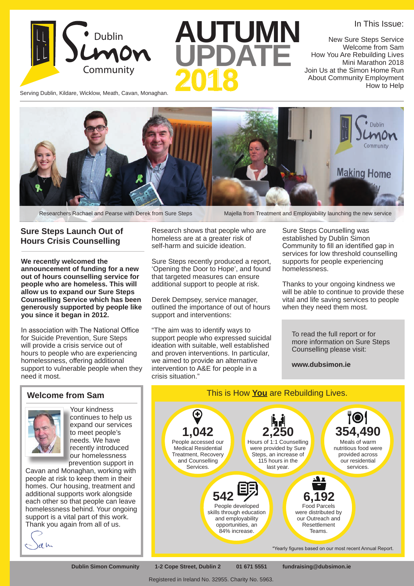Serving Dublin, Kildare, Wicklow, Meath, Cavan, Monaghan. Dublin

**AUTUMN UPDATE**

New Sure Steps Service Welcome from Sam How You Are Rebuilding Lives Mini Marathon 2018 Join Us at the Simon Home Run About Community Employment How to Help

In This Issue:



Researchers Rachael and Pearse with Derek from Sure Steps Majella from Treatment and Employability launching the new service

#### **Sure Steps Launch Out of Hours Crisis Counselling**

**We recently welcomed the announcement of funding for a new out of hours counselling service for people who are homeless. This will allow us to expand our Sure Steps Counselling Service which has been generously supported by people like you since it began in 2012.** 

In association with The National Office for Suicide Prevention, Sure Steps will provide a crisis service out of hours to people who are experiencing homelessness, offering additional support to vulnerable people when they need it most.

### **Welcome from Sam**



Your kindness continues to help us expand our services to meet people's needs. We have recently introduced our homelessness prevention support in

Cavan and Monaghan, working with people at risk to keep them in their homes. Our housing, treatment and additional supports work alongside each other so that people can leave homelessness behind. Your ongoing support is a vital part of this work. Thank you again from all of us.

Research shows that people who are homeless are at a greater risk of self-harm and suicide ideation.

Sure Steps recently produced a report, 'Opening the Door to Hope', and found that targeted measures can ensure additional support to people at risk.

Derek Dempsey, service manager, outlined the importance of out of hours support and interventions:

"The aim was to identify ways to support people who expressed suicidal ideation with suitable, well established and proven interventions. In particular, we aimed to provide an alternative intervention to A&E for people in a crisis situation."

Sure Steps Counselling was established by Dublin Simon Community to fill an identified gap in services for low threshold counselling supports for people experiencing homelessness.

Thanks to your ongoing kindness we will be able to continue to provide these vital and life saving services to people when they need them most.

To read the full report or for more information on Sure Steps Counselling please visit:

**www.dubsimon.ie**



**Dublin Simon Community 1-2 Cope Street, Dublin 2 01 671 5551 fundraising@dubsimon.ie**